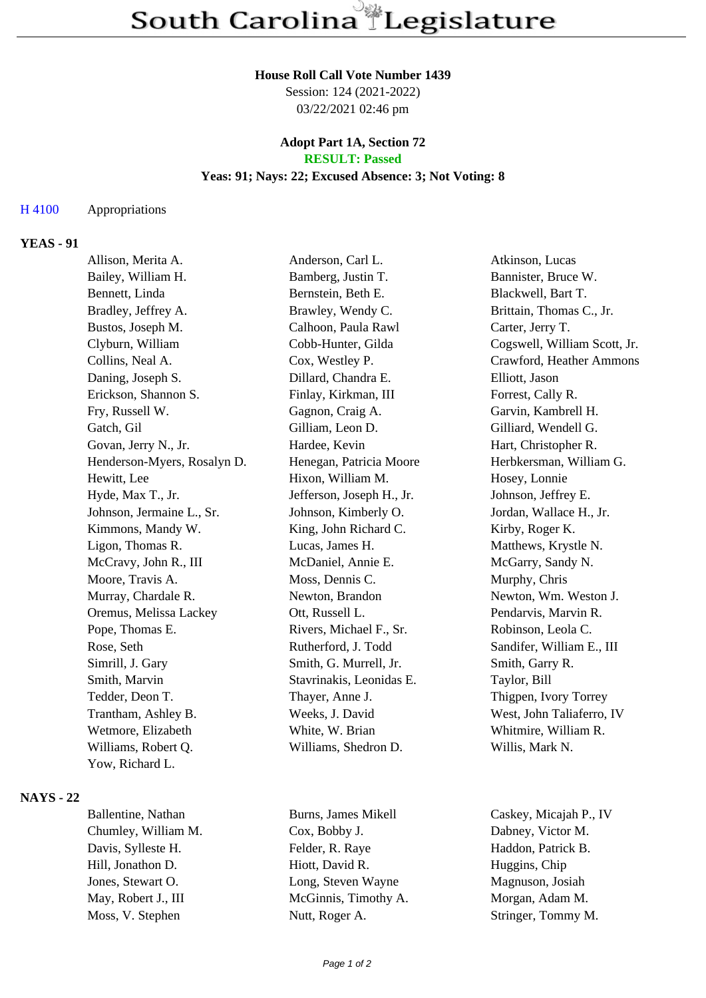#### **House Roll Call Vote Number 1439**

Session: 124 (2021-2022) 03/22/2021 02:46 pm

## **Adopt Part 1A, Section 72 RESULT: Passed**

## **Yeas: 91; Nays: 22; Excused Absence: 3; Not Voting: 8**

#### H 4100 Appropriations

# **YEAS - 91**

| Allison, Merita A.          | Anderson, Carl L.         | Atkinson, Lucas              |
|-----------------------------|---------------------------|------------------------------|
| Bailey, William H.          | Bamberg, Justin T.        | Bannister, Bruce W.          |
| Bennett, Linda              | Bernstein, Beth E.        | Blackwell, Bart T.           |
| Bradley, Jeffrey A.         | Brawley, Wendy C.         | Brittain, Thomas C., Jr.     |
| Bustos, Joseph M.           | Calhoon, Paula Rawl       | Carter, Jerry T.             |
| Clyburn, William            | Cobb-Hunter, Gilda        | Cogswell, William Scott, Jr. |
| Collins, Neal A.            | Cox, Westley P.           | Crawford, Heather Ammons     |
| Daning, Joseph S.           | Dillard, Chandra E.       | Elliott, Jason               |
| Erickson, Shannon S.        | Finlay, Kirkman, III      | Forrest, Cally R.            |
| Fry, Russell W.             | Gagnon, Craig A.          | Garvin, Kambrell H.          |
| Gatch, Gil                  | Gilliam, Leon D.          | Gilliard, Wendell G.         |
| Govan, Jerry N., Jr.        | Hardee, Kevin             | Hart, Christopher R.         |
| Henderson-Myers, Rosalyn D. | Henegan, Patricia Moore   | Herbkersman, William G.      |
| Hewitt, Lee                 | Hixon, William M.         | Hosey, Lonnie                |
| Hyde, Max T., Jr.           | Jefferson, Joseph H., Jr. | Johnson, Jeffrey E.          |
| Johnson, Jermaine L., Sr.   | Johnson, Kimberly O.      | Jordan, Wallace H., Jr.      |
| Kimmons, Mandy W.           | King, John Richard C.     | Kirby, Roger K.              |
| Ligon, Thomas R.            | Lucas, James H.           | Matthews, Krystle N.         |
| McCravy, John R., III       | McDaniel, Annie E.        | McGarry, Sandy N.            |
| Moore, Travis A.            | Moss, Dennis C.           | Murphy, Chris                |
| Murray, Chardale R.         | Newton, Brandon           | Newton, Wm. Weston J.        |
| Oremus, Melissa Lackey      | Ott, Russell L.           | Pendarvis, Marvin R.         |
| Pope, Thomas E.             | Rivers, Michael F., Sr.   | Robinson, Leola C.           |
| Rose, Seth                  | Rutherford, J. Todd       | Sandifer, William E., III    |
| Simrill, J. Gary            | Smith, G. Murrell, Jr.    | Smith, Garry R.              |
| Smith, Marvin               | Stavrinakis, Leonidas E.  | Taylor, Bill                 |
| Tedder, Deon T.             | Thayer, Anne J.           | Thigpen, Ivory Torrey        |
| Trantham, Ashley B.         | Weeks, J. David           | West, John Taliaferro, IV    |
| Wetmore, Elizabeth          | White, W. Brian           | Whitmire, William R.         |
| Williams, Robert Q.         | Williams, Shedron D.      | Willis, Mark N.              |
| Yow, Richard L.             |                           |                              |
|                             |                           |                              |

#### **NAYS - 22**

Chumley, William M. Cox, Bobby J. Dabney, Victor M. Davis, Sylleste H. Felder, R. Raye Haddon, Patrick B. Hill, Jonathon D. Hiott, David R. Huggins, Chip Jones, Stewart O. Cong, Steven Wayne Magnuson, Josiah May, Robert J., III McGinnis, Timothy A. Morgan, Adam M. Moss, V. Stephen Nutt, Roger A. Stringer, Tommy M.

Ballentine, Nathan Burns, James Mikell Caskey, Micajah P., IV